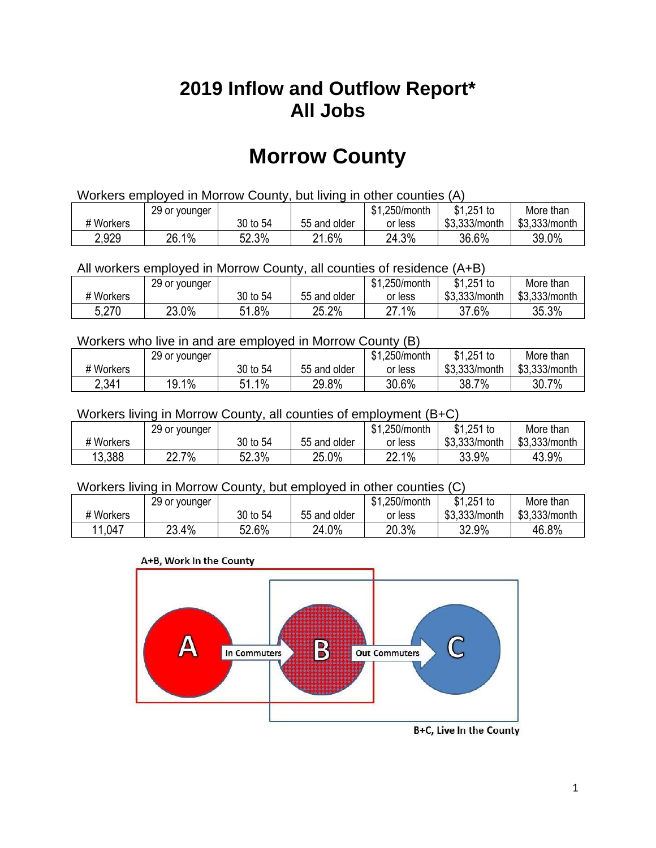## **2019 Inflow and Outflow Report\* All Jobs**

# **Morrow County**

| Workers employed in Morrow County, but living in other counties (A) |                                                            |          |              |         |               |               |  |  |  |
|---------------------------------------------------------------------|------------------------------------------------------------|----------|--------------|---------|---------------|---------------|--|--|--|
|                                                                     | $$1,251$ to<br>\$1.250/month<br>More than<br>29 or younger |          |              |         |               |               |  |  |  |
| # Workers                                                           |                                                            | 30 to 54 | 55 and older | or less | \$3.333/month | \$3.333/month |  |  |  |
| 2,929                                                               | 26.1%                                                      | 52.3%    | 21.6%        | 24.3%   | 36.6%         | 39.0%         |  |  |  |

All workers employed in Morrow County, all counties of residence (A+B)

|           | 29 or younger |          |              | \$1,250/month    | $$1,251$ to   | More than     |
|-----------|---------------|----------|--------------|------------------|---------------|---------------|
| # Workers |               | 30 to 54 | 55 and older | or less          | \$3,333/month | \$3,333/month |
| 5,270     | 23.0%         | 51.8%    | 25.2%        | $1\%$<br>דר<br>ے | 37.6%         | 35.3%         |

#### Workers who live in and are employed in Morrow County (B)

|           | 29 or younger |             |              | \$1,250/month | $$1,251$ to   | More than     |
|-----------|---------------|-------------|--------------|---------------|---------------|---------------|
| # Workers |               | 30 to 54    | 55 and older | or less       | \$3,333/month | \$3,333/month |
| 2,341     | 19.1%         | $1\%$<br>54 | 29.8%        | 30.6%         | 38.7%         | 30.7%         |

#### Workers living in Morrow County, all counties of employment (B+C)

|           | 29 or younger |          |              | \$1,250/month | $$1,251$ to   | More than     |
|-----------|---------------|----------|--------------|---------------|---------------|---------------|
| # Workers |               | 30 to 54 | 55 and older | or less       | \$3,333/month | \$3,333/month |
| 13,388    | 22.7%         | 52.3%    | 25.0%        | 22.1%         | 33.9%         | 43.9%         |

#### Workers living in Morrow County, but employed in other counties (C)

|           | 29 or younger |          |              | .250/month<br>ונה | $$1,251$ to   | More than     |
|-----------|---------------|----------|--------------|-------------------|---------------|---------------|
| # Workers |               | 30 to 54 | 55 and older | or less           | \$3,333/month | \$3,333/month |
| 11,047    | 23.4%         | 52.6%    | 24.0%        | 20.3%             | 32.9%         | 46.8%         |

#### A+B, Work In the County



B+C, Live In the County